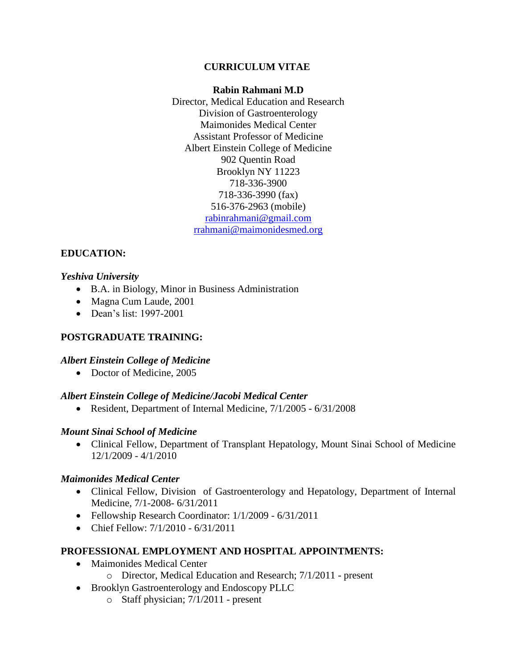### **CURRICULUM VITAE**

### **Rabin Rahmani M.D**

Director, Medical Education and Research Division of Gastroenterology Maimonides Medical Center Assistant Professor of Medicine Albert Einstein College of Medicine 902 Quentin Road Brooklyn NY 11223 718-336-3900 718-336-3990 (fax) 516-376-2963 (mobile) [rabinrahmani@gmail.com](mailto:rabinrahmani@gmail.com) [rrahmani@maimonidesmed.org](mailto:rrahmani@maimonidesmed.org)

### **EDUCATION:**

### *Yeshiva University*

- B.A. in Biology, Minor in Business Administration
- Magna Cum Laude, 2001
- Dean's list: 1997-2001

### **POSTGRADUATE TRAINING:**

### *Albert Einstein College of Medicine*

• Doctor of Medicine, 2005

### *Albert Einstein College of Medicine/Jacobi Medical Center*

Resident, Department of Internal Medicine, 7/1/2005 - 6/31/2008

### *Mount Sinai School of Medicine*

 Clinical Fellow, Department of Transplant Hepatology, Mount Sinai School of Medicine 12/1/2009 - 4/1/2010

### *Maimonides Medical Center*

- Clinical Fellow, Division of Gastroenterology and Hepatology, Department of Internal Medicine, 7/1-2008- 6/31/2011
- Fellowship Research Coordinator:  $1/1/2009 6/31/2011$
- Chief Fellow: 7/1/2010 6/31/2011

### **PROFESSIONAL EMPLOYMENT AND HOSPITAL APPOINTMENTS:**

- Maimonides Medical Center
	- o Director, Medical Education and Research; 7/1/2011 present
- Brooklyn Gastroenterology and Endoscopy PLLC
	- o Staff physician; 7/1/2011 present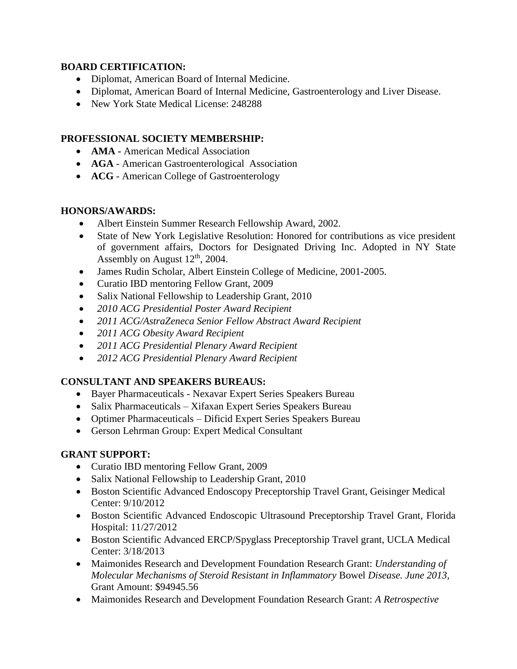## **BOARD CERTIFICATION:**

- Diplomat, American Board of Internal Medicine.
- Diplomat, American Board of Internal Medicine, Gastroenterology and Liver Disease.
- New York State Medical License: 248288

## **PROFESSIONAL SOCIETY MEMBERSHIP:**

- **AMA -** American Medical Association
- **AGA** American Gastroenterological Association
- **ACG** American College of Gastroenterology

### **HONORS/AWARDS:**

- Albert Einstein Summer Research Fellowship Award, 2002.
- State of New York Legislative Resolution: Honored for contributions as vice president of government affairs, Doctors for Designated Driving Inc. Adopted in NY State Assembly on August  $12<sup>th</sup>$ , 2004.
- James Rudin Scholar, Albert Einstein College of Medicine, 2001-2005.
- Curatio IBD mentoring Fellow Grant, 2009
- Salix National Fellowship to Leadership Grant, 2010
- *2010 ACG Presidential Poster Award Recipient*
- *2011 ACG/AstraZeneca Senior Fellow Abstract Award Recipient*
- *2011 ACG Obesity Award Recipient*
- *2011 ACG Presidential Plenary Award Recipient*
- *2012 ACG Presidential Plenary Award Recipient*

# **CONSULTANT AND SPEAKERS BUREAUS:**

- Bayer Pharmaceuticals Nexavar Expert Series Speakers Bureau
- Salix Pharmaceuticals Xifaxan Expert Series Speakers Bureau
- Optimer Pharmaceuticals Dificid Expert Series Speakers Bureau
- Gerson Lehrman Group: Expert Medical Consultant

# **GRANT SUPPORT:**

- Curatio IBD mentoring Fellow Grant, 2009
- Salix National Fellowship to Leadership Grant, 2010
- Boston Scientific Advanced Endoscopy Preceptorship Travel Grant, Geisinger Medical Center: 9/10/2012
- Boston Scientific Advanced Endoscopic Ultrasound Preceptorship Travel Grant, Florida Hospital: 11/27/2012
- Boston Scientific Advanced ERCP/Spyglass Preceptorship Travel grant, UCLA Medical Center: 3/18/2013
- Maimonides Research and Development Foundation Research Grant: *Understanding of Molecular Mechanisms of Steroid Resistant in Inflammatory* Bowel *Disease. June 2013,* Grant Amount: \$94945.56
- Maimonides Research and Development Foundation Research Grant: *A Retrospective*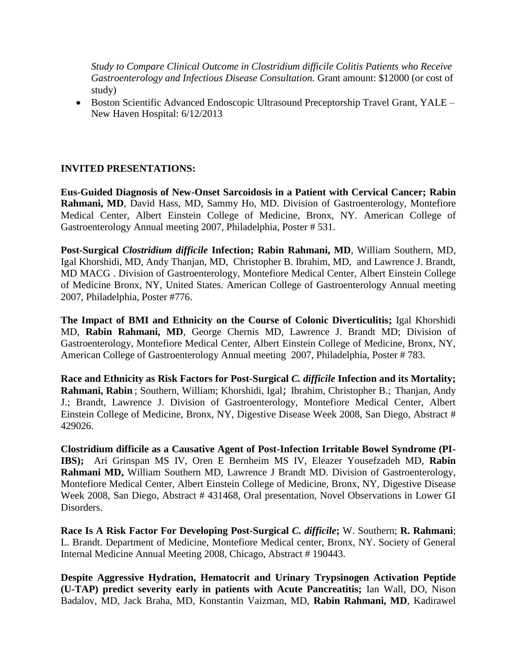*Study to Compare Clinical Outcome in Clostridium difficile Colitis Patients who Receive Gastroenterology and Infectious Disease Consultation.* Grant amount: \$12000 (or cost of study)

 Boston Scientific Advanced Endoscopic Ultrasound Preceptorship Travel Grant, YALE – New Haven Hospital: 6/12/2013

### **INVITED PRESENTATIONS:**

**Eus-Guided Diagnosis of New-Onset Sarcoidosis in a Patient with Cervical Cancer; Rabin Rahmani, MD**, David Hass, MD, Sammy Ho, MD. Division of Gastroenterology, Montefiore Medical Center, Albert Einstein College of Medicine, Bronx, NY. American College of Gastroenterology Annual meeting 2007, Philadelphia, Poster # 531.

**Post-Surgical** *Clostridium difficile* **Infection; Rabin Rahmani, MD**, William Southern, MD, Igal Khorshidi, MD, Andy Thanjan, MD, Christopher B. Ibrahim, MD, and Lawrence J. Brandt, MD MACG . Division of Gastroenterology, Montefiore Medical Center, Albert Einstein College of Medicine Bronx, NY, United States. American College of Gastroenterology Annual meeting 2007, Philadelphia, Poster #776.

**The Impact of BMI and Ethnicity on the Course of Colonic Diverticulitis;** Igal Khorshidi MD, **Rabin Rahmani, MD**, George Chernis MD, Lawrence J. Brandt MD; Division of Gastroenterology, Montefiore Medical Center, Albert Einstein College of Medicine, Bronx, NY, American College of Gastroenterology Annual meeting 2007, Philadelphia, Poster # 783.

**Race and Ethnicity as Risk Factors for Post-Surgical** *C. difficile* **Infection and its Mortality; Rahmani, Rabin** ; Southern, William; Khorshidi, Igal; Ibrahim, Christopher B.; Thanjan, Andy J.; Brandt, Lawrence J. Division of Gastroenterology, Montefiore Medical Center, Albert Einstein College of Medicine, Bronx, NY, Digestive Disease Week 2008, San Diego, Abstract # 429026.

**Clostridium difficile as a Causative Agent of Post-Infection Irritable Bowel Syndrome (PI-IBS);** Ari Grinspan MS IV, Oren E Bernheim MS IV, Eleazer Yousefzadeh MD, **Rabin Rahmani MD,** William Southern MD, Lawrence J Brandt MD. Division of Gastroenterology, Montefiore Medical Center, Albert Einstein College of Medicine, Bronx, NY, Digestive Disease Week 2008, San Diego, Abstract # 431468, Oral presentation, Novel Observations in Lower GI Disorders.

**Race Is A Risk Factor For Developing Post-Surgical** *C. difficile***;** W. Southern; **R. Rahmani**; L. Brandt. Department of Medicine, Montefiore Medical center, Bronx, NY. Society of General Internal Medicine Annual Meeting 2008, Chicago, Abstract # 190443.

**Despite Aggressive Hydration, Hematocrit and Urinary Trypsinogen Activation Peptide (U-TAP) predict severity early in patients with Acute Pancreatitis;** Ian Wall, DO, Nison Badalov, MD, Jack Braha, MD, Konstantin Vaizman, MD, **Rabin Rahmani, MD**, Kadirawel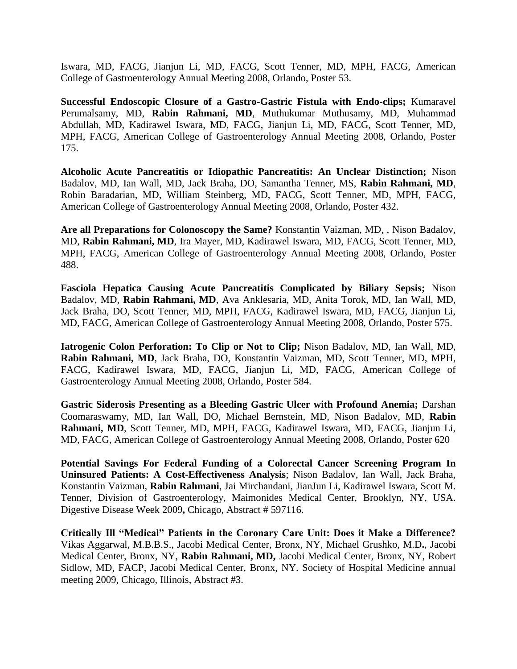Iswara, MD, FACG, Jianjun Li, MD, FACG, Scott Tenner, MD, MPH, FACG, American College of Gastroenterology Annual Meeting 2008, Orlando, Poster 53.

**Successful Endoscopic Closure of a Gastro-Gastric Fistula with Endo-clips;** Kumaravel Perumalsamy, MD, **Rabin Rahmani, MD**, Muthukumar Muthusamy, MD, Muhammad Abdullah, MD, Kadirawel Iswara, MD, FACG, Jianjun Li, MD, FACG, Scott Tenner, MD, MPH, FACG, American College of Gastroenterology Annual Meeting 2008, Orlando, Poster 175.

**Alcoholic Acute Pancreatitis or Idiopathic Pancreatitis: An Unclear Distinction;** Nison Badalov, MD, Ian Wall, MD, Jack Braha, DO, Samantha Tenner, MS, **Rabin Rahmani, MD**, Robin Baradarian, MD, William Steinberg, MD, FACG, Scott Tenner, MD, MPH, FACG, American College of Gastroenterology Annual Meeting 2008, Orlando, Poster 432.

**Are all Preparations for Colonoscopy the Same?** Konstantin Vaizman, MD, , Nison Badalov, MD, **Rabin Rahmani, MD**, Ira Mayer, MD, Kadirawel Iswara, MD, FACG, Scott Tenner, MD, MPH, FACG, American College of Gastroenterology Annual Meeting 2008, Orlando, Poster 488.

**Fasciola Hepatica Causing Acute Pancreatitis Complicated by Biliary Sepsis;** Nison Badalov, MD, **Rabin Rahmani, MD**, Ava Anklesaria, MD, Anita Torok, MD, Ian Wall, MD, Jack Braha, DO, Scott Tenner, MD, MPH, FACG, Kadirawel Iswara, MD, FACG, Jianjun Li, MD, FACG, American College of Gastroenterology Annual Meeting 2008, Orlando, Poster 575.

**Iatrogenic Colon Perforation: To Clip or Not to Clip;** Nison Badalov, MD, Ian Wall, MD, **Rabin Rahmani, MD**, Jack Braha, DO, Konstantin Vaizman, MD, Scott Tenner, MD, MPH, FACG, Kadirawel Iswara, MD, FACG, Jianjun Li, MD, FACG, American College of Gastroenterology Annual Meeting 2008, Orlando, Poster 584.

**Gastric Siderosis Presenting as a Bleeding Gastric Ulcer with Profound Anemia;** Darshan Coomaraswamy, MD, Ian Wall, DO, Michael Bernstein, MD, Nison Badalov, MD, **Rabin Rahmani, MD**, Scott Tenner, MD, MPH, FACG, Kadirawel Iswara, MD, FACG, Jianjun Li, MD, FACG, American College of Gastroenterology Annual Meeting 2008, Orlando, Poster 620

**Potential Savings For Federal Funding of a Colorectal Cancer Screening Program In Uninsured Patients: A Cost-Effectiveness Analysis**; Nison Badalov, Ian Wall, Jack Braha, Konstantin Vaizman, **Rabin Rahmani**, Jai Mirchandani, JianJun Li, Kadirawel Iswara, Scott M. Tenner, Division of Gastroenterology, Maimonides Medical Center, Brooklyn, NY, USA. Digestive Disease Week 2009**,** Chicago, Abstract # 597116.

**Critically Ill "Medical" Patients in the Coronary Care Unit: Does it Make a Difference?**  Vikas Aggarwal, M.B.B.S., Jacobi Medical Center, Bronx, NY, Michael Grushko, M.D**.**, Jacobi Medical Center, Bronx, NY, **Rabin Rahmani, MD,** Jacobi Medical Center, Bronx, NY, Robert Sidlow, MD, FACP, Jacobi Medical Center, Bronx, NY. Society of Hospital Medicine annual meeting 2009, Chicago, Illinois, Abstract #3.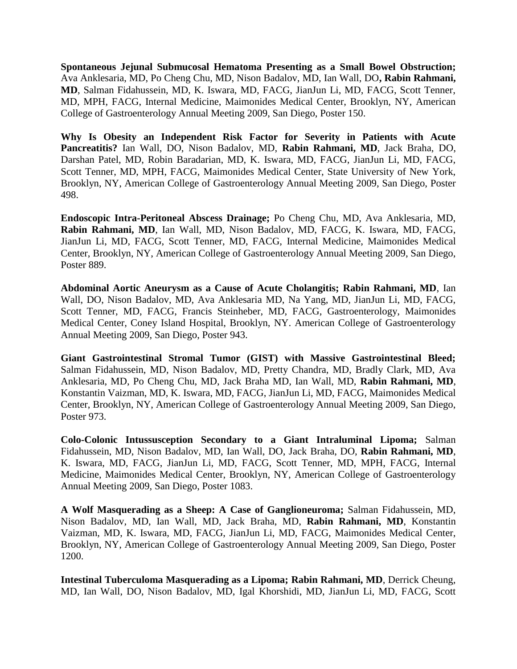**Spontaneous Jejunal Submucosal Hematoma Presenting as a Small Bowel Obstruction;**  Ava Anklesaria, MD, Po Cheng Chu, MD, Nison Badalov, MD, Ian Wall, DO**, Rabin Rahmani, MD**, Salman Fidahussein, MD, K. Iswara, MD, FACG, JianJun Li, MD, FACG, Scott Tenner, MD, MPH, FACG, Internal Medicine, Maimonides Medical Center, Brooklyn, NY, American College of Gastroenterology Annual Meeting 2009, San Diego, Poster 150.

**Why Is Obesity an Independent Risk Factor for Severity in Patients with Acute Pancreatitis?** Ian Wall, DO, Nison Badalov, MD, **Rabin Rahmani, MD**, Jack Braha, DO, Darshan Patel, MD, Robin Baradarian, MD, K. Iswara, MD, FACG, JianJun Li, MD, FACG, Scott Tenner, MD, MPH, FACG, Maimonides Medical Center, State University of New York, Brooklyn, NY, American College of Gastroenterology Annual Meeting 2009, San Diego, Poster 498.

**Endoscopic Intra-Peritoneal Abscess Drainage;** Po Cheng Chu, MD, Ava Anklesaria, MD, **Rabin Rahmani, MD**, Ian Wall, MD, Nison Badalov, MD, FACG, K. Iswara, MD, FACG, JianJun Li, MD, FACG, Scott Tenner, MD, FACG, Internal Medicine, Maimonides Medical Center, Brooklyn, NY, American College of Gastroenterology Annual Meeting 2009, San Diego, Poster 889.

**Abdominal Aortic Aneurysm as a Cause of Acute Cholangitis; Rabin Rahmani, MD**, Ian Wall, DO, Nison Badalov, MD, Ava Anklesaria MD, Na Yang, MD, JianJun Li, MD, FACG, Scott Tenner, MD, FACG, Francis Steinheber, MD, FACG, Gastroenterology, Maimonides Medical Center, Coney Island Hospital, Brooklyn, NY. American College of Gastroenterology Annual Meeting 2009, San Diego, Poster 943.

**Giant Gastrointestinal Stromal Tumor (GIST) with Massive Gastrointestinal Bleed;**  Salman Fidahussein, MD, Nison Badalov, MD, Pretty Chandra, MD, Bradly Clark, MD, Ava Anklesaria, MD, Po Cheng Chu, MD, Jack Braha MD, Ian Wall, MD, **Rabin Rahmani, MD**, Konstantin Vaizman, MD, K. Iswara, MD, FACG, JianJun Li, MD, FACG, Maimonides Medical Center, Brooklyn, NY, American College of Gastroenterology Annual Meeting 2009, San Diego, Poster 973.

**Colo-Colonic Intussusception Secondary to a Giant Intraluminal Lipoma;** Salman Fidahussein, MD, Nison Badalov, MD, Ian Wall, DO, Jack Braha, DO, **Rabin Rahmani, MD**, K. Iswara, MD, FACG, JianJun Li, MD, FACG, Scott Tenner, MD, MPH, FACG, Internal Medicine, Maimonides Medical Center, Brooklyn, NY, American College of Gastroenterology Annual Meeting 2009, San Diego, Poster 1083.

**A Wolf Masquerading as a Sheep: A Case of Ganglioneuroma;** Salman Fidahussein, MD, Nison Badalov, MD, Ian Wall, MD, Jack Braha, MD, **Rabin Rahmani, MD**, Konstantin Vaizman, MD, K. Iswara, MD, FACG, JianJun Li, MD, FACG, Maimonides Medical Center, Brooklyn, NY, American College of Gastroenterology Annual Meeting 2009, San Diego, Poster 1200.

**Intestinal Tuberculoma Masquerading as a Lipoma; Rabin Rahmani, MD**, Derrick Cheung, MD, Ian Wall, DO, Nison Badalov, MD, Igal Khorshidi, MD, JianJun Li, MD, FACG, Scott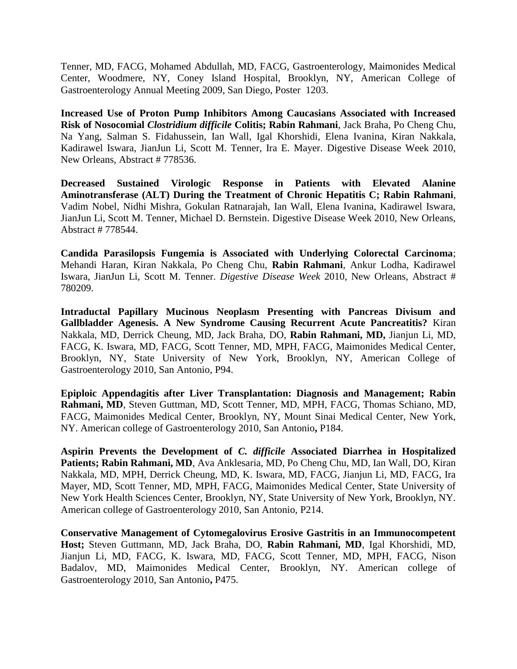Tenner, MD, FACG, Mohamed Abdullah, MD, FACG, Gastroenterology, Maimonides Medical Center, Woodmere, NY, Coney Island Hospital, Brooklyn, NY, American College of Gastroenterology Annual Meeting 2009, San Diego, Poster 1203.

**Increased Use of Proton Pump Inhibitors Among Caucasians Associated with Increased Risk of Nosocomial** *Clostridium difficile* **Colitis; Rabin Rahmani**, Jack Braha, Po Cheng Chu, Na Yang, Salman S. Fidahussein, Ian Wall, Igal Khorshidi, Elena Ivanina, Kiran Nakkala, Kadirawel Iswara, JianJun Li, Scott M. Tenner, Ira E. Mayer. Digestive Disease Week 2010, New Orleans, Abstract # 778536.

**Decreased Sustained Virologic Response in Patients with Elevated Alanine Aminotransferase (ALT) During the Treatment of Chronic Hepatitis C; Rabin Rahmani**, Vadim Nobel, Nidhi Mishra, Gokulan Ratnarajah, Ian Wall, Elena Ivanina, Kadirawel Iswara, JianJun Li, Scott M. Tenner, Michael D. Bernstein. Digestive Disease Week 2010, New Orleans, Abstract # 778544.

**Candida Parasilopsis Fungemia is Associated with Underlying Colorectal Carcinoma**; Mehandi Haran, Kiran Nakkala, Po Cheng Chu, **Rabin Rahmani**, Ankur Lodha, Kadirawel Iswara, JianJun Li, Scott M. Tenner. *Digestive Disease Week* 2010, New Orleans, Abstract # 780209.

**Intraductal Papillary Mucinous Neoplasm Presenting with Pancreas Divisum and Gallbladder Agenesis. A New Syndrome Causing Recurrent Acute Pancreatitis?** Kiran Nakkala, MD, Derrick Cheung, MD, Jack Braha, DO, **Rabin Rahmani, MD,** Jianjun Li, MD, FACG, K. Iswara, MD, FACG, Scott Tenner, MD, MPH, FACG, Maimonides Medical Center, Brooklyn, NY, State University of New York, Brooklyn, NY, American College of Gastroenterology 2010, San Antonio, P94.

**Epiploic Appendagitis after Liver Transplantation: Diagnosis and Management; Rabin Rahmani, MD**, Steven Guttman, MD, Scott Tenner, MD, MPH, FACG, Thomas Schiano, MD, FACG, Maimonides Medical Center, Brooklyn, NY, Mount Sinai Medical Center, New York, NY. American college of Gastroenterology 2010, San Antonio**,** P184.

**Aspirin Prevents the Development of** *C. difficile* **Associated Diarrhea in Hospitalized Patients; Rabin Rahmani, MD**, Ava Anklesaria, MD, Po Cheng Chu, MD, Ian Wall, DO, Kiran Nakkala, MD, MPH, Derrick Cheung, MD, K. Iswara, MD, FACG, Jianjun Li, MD, FACG, Ira Mayer, MD, Scott Tenner, MD, MPH, FACG, Maimonides Medical Center, State University of New York Health Sciences Center, Brooklyn, NY, State University of New York, Brooklyn, NY. American college of Gastroenterology 2010, San Antonio, P214.

**Conservative Management of Cytomegalovirus Erosive Gastritis in an Immunocompetent Host;** Steven Guttmann, MD, Jack Braha, DO, **Rabin Rahmani, MD**, Igal Khorshidi, MD, Jianjun Li, MD, FACG, K. Iswara, MD, FACG, Scott Tenner, MD, MPH, FACG, Nison Badalov, MD, Maimonides Medical Center, Brooklyn, NY. American college of Gastroenterology 2010, San Antonio**,** P475.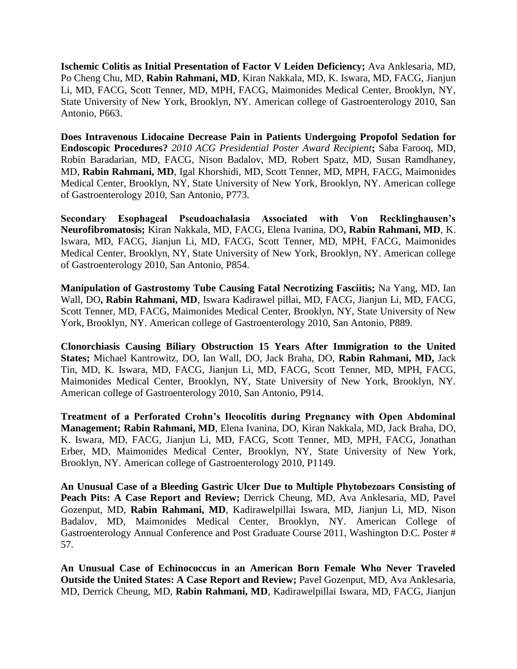**Ischemic Colitis as Initial Presentation of Factor V Leiden Deficiency;** Ava Anklesaria, MD, Po Cheng Chu, MD, **Rabin Rahmani, MD**, Kiran Nakkala, MD, K. Iswara, MD, FACG, Jianjun Li, MD, FACG, Scott Tenner, MD, MPH, FACG, Maimonides Medical Center, Brooklyn, NY, State University of New York, Brooklyn, NY. American college of Gastroenterology 2010, San Antonio, P663.

**Does Intravenous Lidocaine Decrease Pain in Patients Undergoing Propofol Sedation for Endoscopic Procedures?** *2010 ACG Presidential Poster Award Recipient***;** Saba Farooq, MD, Robin Baradarian, MD, FACG, Nison Badalov, MD, Robert Spatz, MD, Susan Ramdhaney, MD, **Rabin Rahmani, MD**, Igal Khorshidi, MD, Scott Tenner, MD, MPH, FACG, Maimonides Medical Center, Brooklyn, NY, State University of New York, Brooklyn, NY. American college of Gastroenterology 2010, San Antonio, P773.

**Secondary Esophageal Pseudoachalasia Associated with Von Recklinghausen's Neurofibromatosis;** Kiran Nakkala, MD, FACG, Elena Ivanina, DO**, Rabin Rahmani, MD**, K. Iswara, MD, FACG, Jianjun Li, MD, FACG, Scott Tenner, MD, MPH, FACG, Maimonides Medical Center, Brooklyn, NY, State University of New York, Brooklyn, NY. American college of Gastroenterology 2010, San Antonio, P854.

**Manipulation of Gastrostomy Tube Causing Fatal Necrotizing Fasciitis;** Na Yang, MD, Ian Wall, DO**, Rabin Rahmani, MD**, Iswara Kadirawel pillai, MD, FACG, Jianjun Li, MD, FACG, Scott Tenner, MD, FACG, Maimonides Medical Center, Brooklyn, NY, State University of New York, Brooklyn, NY. American college of Gastroenterology 2010, San Antonio, P889.

**Clonorchiasis Causing Biliary Obstruction 15 Years After Immigration to the United States;** Michael Kantrowitz, DO, Ian Wall, DO, Jack Braha, DO, **Rabin Rahmani, MD,** Jack Tin, MD, K. Iswara, MD, FACG, Jianjun Li, MD, FACG, Scott Tenner, MD, MPH, FACG, Maimonides Medical Center, Brooklyn, NY, State University of New York, Brooklyn, NY. American college of Gastroenterology 2010, San Antonio, P914.

**Treatment of a Perforated Crohn's Ileocolitis during Pregnancy with Open Abdominal Management; Rabin Rahmani, MD**, Elena Ivanina, DO, Kiran Nakkala, MD, Jack Braha, DO, K. Iswara, MD, FACG, Jianjun Li, MD, FACG, Scott Tenner, MD, MPH, FACG, Jonathan Erber, MD, Maimonides Medical Center, Brooklyn, NY, State University of New York, Brooklyn, NY. American college of Gastroenterology 2010, P1149.

**An Unusual Case of a Bleeding Gastric Ulcer Due to Multiple Phytobezoars Consisting of Peach Pits: A Case Report and Review;** Derrick Cheung, MD, Ava Anklesaria, MD, Pavel Gozenput, MD, **Rabin Rahmani, MD**, Kadirawelpillai Iswara, MD, Jianjun Li, MD, Nison Badalov, MD, Maimonides Medical Center, Brooklyn, NY. American College of Gastroenterology Annual Conference and Post Graduate Course 2011, Washington D.C. Poster # 57.

**An Unusual Case of Echinococcus in an American Born Female Who Never Traveled Outside the United States: A Case Report and Review;** Pavel Gozenput, MD, Ava Anklesaria, MD, Derrick Cheung, MD, **Rabin Rahmani, MD**, Kadirawelpillai Iswara, MD, FACG, Jianjun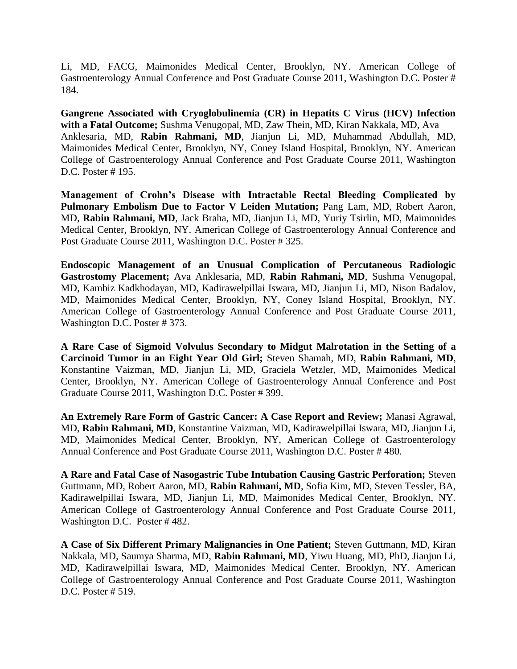Li, MD, FACG, Maimonides Medical Center, Brooklyn, NY. American College of Gastroenterology Annual Conference and Post Graduate Course 2011, Washington D.C. Poster # 184.

**Gangrene Associated with Cryoglobulinemia (CR) in Hepatits C Virus (HCV) Infection with a Fatal Outcome;** Sushma Venugopal, MD, Zaw Thein, MD, Kiran Nakkala, MD, Ava Anklesaria, MD, **Rabin Rahmani, MD**, Jianjun Li, MD, Muhammad Abdullah, MD, Maimonides Medical Center, Brooklyn, NY, Coney Island Hospital, Brooklyn, NY. American College of Gastroenterology Annual Conference and Post Graduate Course 2011, Washington D.C. Poster # 195.

**Management of Crohn's Disease with Intractable Rectal Bleeding Complicated by**  Pulmonary Embolism Due to Factor V Leiden Mutation; Pang Lam, MD, Robert Aaron, MD, **Rabin Rahmani, MD**, Jack Braha, MD, Jianjun Li, MD, Yuriy Tsirlin, MD, Maimonides Medical Center, Brooklyn, NY. American College of Gastroenterology Annual Conference and Post Graduate Course 2011, Washington D.C. Poster # 325.

**Endoscopic Management of an Unusual Complication of Percutaneous Radiologic Gastrostomy Placement;** Ava Anklesaria, MD, **Rabin Rahmani, MD**, Sushma Venugopal, MD, Kambiz Kadkhodayan, MD, Kadirawelpillai Iswara, MD, Jianjun Li, MD, Nison Badalov, MD, Maimonides Medical Center, Brooklyn, NY, Coney Island Hospital, Brooklyn, NY. American College of Gastroenterology Annual Conference and Post Graduate Course 2011, Washington D.C. Poster # 373.

**A Rare Case of Sigmoid Volvulus Secondary to Midgut Malrotation in the Setting of a Carcinoid Tumor in an Eight Year Old Girl;** Steven Shamah, MD, **Rabin Rahmani, MD**, Konstantine Vaizman, MD, Jianjun Li, MD, Graciela Wetzler, MD, Maimonides Medical Center, Brooklyn, NY. American College of Gastroenterology Annual Conference and Post Graduate Course 2011, Washington D.C. Poster # 399.

**An Extremely Rare Form of Gastric Cancer: A Case Report and Review;** Manasi Agrawal, MD, **Rabin Rahmani, MD**, Konstantine Vaizman, MD, Kadirawelpillai Iswara, MD, Jianjun Li, MD, Maimonides Medical Center, Brooklyn, NY, American College of Gastroenterology Annual Conference and Post Graduate Course 2011, Washington D.C. Poster # 480.

**A Rare and Fatal Case of Nasogastric Tube Intubation Causing Gastric Perforation;** Steven Guttmann, MD, Robert Aaron, MD, **Rabin Rahmani, MD**, Sofia Kim, MD, Steven Tessler, BA, Kadirawelpillai Iswara, MD, Jianjun Li, MD, Maimonides Medical Center, Brooklyn, NY. American College of Gastroenterology Annual Conference and Post Graduate Course 2011, Washington D.C. Poster # 482.

**A Case of Six Different Primary Malignancies in One Patient;** Steven Guttmann, MD, Kiran Nakkala, MD, Saumya Sharma, MD, **Rabin Rahmani, MD**, Yiwu Huang, MD, PhD, Jianjun Li, MD, Kadirawelpillai Iswara, MD, Maimonides Medical Center, Brooklyn, NY. American College of Gastroenterology Annual Conference and Post Graduate Course 2011, Washington D.C. Poster # 519.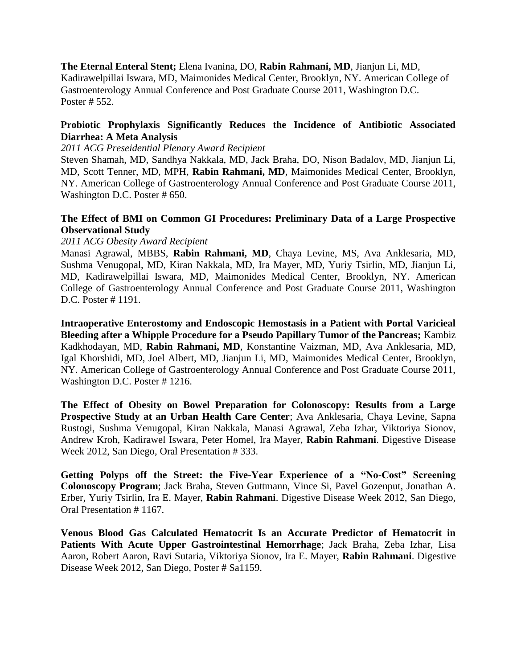**The Eternal Enteral Stent;** Elena Ivanina, DO, **Rabin Rahmani, MD**, Jianjun Li, MD, Kadirawelpillai Iswara, MD, Maimonides Medical Center, Brooklyn, NY. American College of Gastroenterology Annual Conference and Post Graduate Course 2011, Washington D.C. Poster # 552.

### **Probiotic Prophylaxis Significantly Reduces the Incidence of Antibiotic Associated Diarrhea: A Meta Analysis**

*2011 ACG Preseidential Plenary Award Recipient*

Steven Shamah, MD, Sandhya Nakkala, MD, Jack Braha, DO, Nison Badalov, MD, Jianjun Li, MD, Scott Tenner, MD, MPH, **Rabin Rahmani, MD**, Maimonides Medical Center, Brooklyn, NY. American College of Gastroenterology Annual Conference and Post Graduate Course 2011, Washington D.C. Poster # 650.

### **The Effect of BMI on Common GI Procedures: Preliminary Data of a Large Prospective Observational Study**

#### *2011 ACG Obesity Award Recipient*

Manasi Agrawal, MBBS, **Rabin Rahmani, MD**, Chaya Levine, MS, Ava Anklesaria, MD, Sushma Venugopal, MD, Kiran Nakkala, MD, Ira Mayer, MD, Yuriy Tsirlin, MD, Jianjun Li, MD, Kadirawelpillai Iswara, MD, Maimonides Medical Center, Brooklyn, NY. American College of Gastroenterology Annual Conference and Post Graduate Course 2011, Washington D.C. Poster # 1191.

**Intraoperative Enterostomy and Endoscopic Hemostasis in a Patient with Portal Varicieal Bleeding after a Whipple Procedure for a Pseudo Papillary Tumor of the Pancreas;** Kambiz Kadkhodayan, MD, **Rabin Rahmani, MD**, Konstantine Vaizman, MD, Ava Anklesaria, MD, Igal Khorshidi, MD, Joel Albert, MD, Jianjun Li, MD, Maimonides Medical Center, Brooklyn, NY. American College of Gastroenterology Annual Conference and Post Graduate Course 2011, Washington D.C. Poster # 1216.

**The Effect of Obesity on Bowel Preparation for Colonoscopy: Results from a Large Prospective Study at an Urban Health Care Center**; Ava Anklesaria, Chaya Levine, Sapna Rustogi, Sushma Venugopal, Kiran Nakkala, Manasi Agrawal, Zeba Izhar, Viktoriya Sionov, Andrew Kroh, Kadirawel Iswara, Peter Homel, Ira Mayer, **Rabin Rahmani**. Digestive Disease Week 2012, San Diego, Oral Presentation # 333.

**Getting Polyps off the Street: the Five-Year Experience of a "No-Cost" Screening Colonoscopy Program**; Jack Braha, Steven Guttmann, Vince Si, Pavel Gozenput, Jonathan A. Erber, Yuriy Tsirlin, Ira E. Mayer, **Rabin Rahmani**. Digestive Disease Week 2012, San Diego, Oral Presentation # 1167.

**Venous Blood Gas Calculated Hematocrit Is an Accurate Predictor of Hematocrit in Patients With Acute Upper Gastrointestinal Hemorrhage**; Jack Braha, Zeba Izhar, Lisa Aaron, Robert Aaron, Ravi Sutaria, Viktoriya Sionov, Ira E. Mayer, **Rabin Rahmani**. Digestive Disease Week 2012, San Diego, Poster # Sa1159.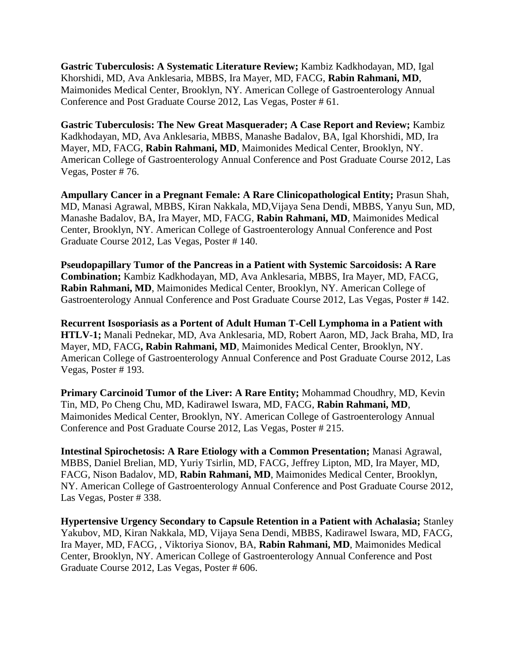**Gastric Tuberculosis: A Systematic Literature Review;** Kambiz Kadkhodayan, MD, Igal Khorshidi, MD, Ava Anklesaria, MBBS, Ira Mayer, MD, FACG, **Rabin Rahmani, MD**, Maimonides Medical Center, Brooklyn, NY. American College of Gastroenterology Annual Conference and Post Graduate Course 2012, Las Vegas, Poster # 61.

**Gastric Tuberculosis: The New Great Masquerader; A Case Report and Review;** Kambiz Kadkhodayan, MD, Ava Anklesaria, MBBS, Manashe Badalov, BA, Igal Khorshidi, MD, Ira Mayer, MD, FACG, **Rabin Rahmani, MD**, Maimonides Medical Center, Brooklyn, NY. American College of Gastroenterology Annual Conference and Post Graduate Course 2012, Las Vegas, Poster # 76.

**Ampullary Cancer in a Pregnant Female: A Rare Clinicopathological Entity;** Prasun Shah, MD, Manasi Agrawal, MBBS, Kiran Nakkala, MD,Vijaya Sena Dendi, MBBS, Yanyu Sun, MD, Manashe Badalov, BA, Ira Mayer, MD, FACG, **Rabin Rahmani, MD**, Maimonides Medical Center, Brooklyn, NY. American College of Gastroenterology Annual Conference and Post Graduate Course 2012, Las Vegas, Poster # 140.

**Pseudopapillary Tumor of the Pancreas in a Patient with Systemic Sarcoidosis: A Rare Combination;** Kambiz Kadkhodayan, MD, Ava Anklesaria, MBBS, Ira Mayer, MD, FACG, **Rabin Rahmani, MD**, Maimonides Medical Center, Brooklyn, NY. American College of Gastroenterology Annual Conference and Post Graduate Course 2012, Las Vegas, Poster # 142.

**Recurrent Isosporiasis as a Portent of Adult Human T-Cell Lymphoma in a Patient with HTLV-1;** Manali Pednekar, MD, Ava Anklesaria, MD, Robert Aaron, MD, Jack Braha, MD, Ira Mayer, MD, FACG**, Rabin Rahmani, MD**, Maimonides Medical Center, Brooklyn, NY. American College of Gastroenterology Annual Conference and Post Graduate Course 2012, Las Vegas, Poster # 193.

**Primary Carcinoid Tumor of the Liver: A Rare Entity; Mohammad Choudhry, MD, Kevin** Tin, MD, Po Cheng Chu, MD, Kadirawel Iswara, MD, FACG, **Rabin Rahmani, MD**, Maimonides Medical Center, Brooklyn, NY. American College of Gastroenterology Annual Conference and Post Graduate Course 2012, Las Vegas, Poster # 215.

**Intestinal Spirochetosis: A Rare Etiology with a Common Presentation;** Manasi Agrawal, MBBS, Daniel Brelian, MD, Yuriy Tsirlin, MD, FACG, Jeffrey Lipton, MD, Ira Mayer, MD, FACG, Nison Badalov, MD, **Rabin Rahmani, MD**, Maimonides Medical Center, Brooklyn, NY. American College of Gastroenterology Annual Conference and Post Graduate Course 2012, Las Vegas, Poster # 338.

**Hypertensive Urgency Secondary to Capsule Retention in a Patient with Achalasia;** Stanley Yakubov, MD, Kiran Nakkala, MD, Vijaya Sena Dendi, MBBS, Kadirawel Iswara, MD, FACG, Ira Mayer, MD, FACG, , Viktoriya Sionov, BA, **Rabin Rahmani, MD**, Maimonides Medical Center, Brooklyn, NY. American College of Gastroenterology Annual Conference and Post Graduate Course 2012, Las Vegas, Poster # 606.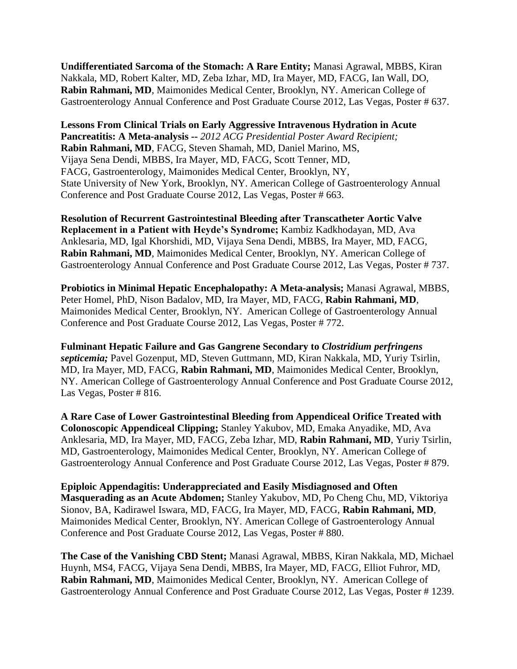**Undifferentiated Sarcoma of the Stomach: A Rare Entity;** Manasi Agrawal, MBBS, Kiran Nakkala, MD, Robert Kalter, MD, Zeba Izhar, MD, Ira Mayer, MD, FACG, Ian Wall, DO, **Rabin Rahmani, MD**, Maimonides Medical Center, Brooklyn, NY. American College of Gastroenterology Annual Conference and Post Graduate Course 2012, Las Vegas, Poster # 637.

**Lessons From Clinical Trials on Early Aggressive Intravenous Hydration in Acute Pancreatitis: A Meta-analysis --** *2012 ACG Presidential Poster Award Recipient;*  **Rabin Rahmani, MD**, FACG, Steven Shamah, MD, Daniel Marino, MS, Vijaya Sena Dendi, MBBS, Ira Mayer, MD, FACG, Scott Tenner, MD, FACG, Gastroenterology, Maimonides Medical Center, Brooklyn, NY, State University of New York, Brooklyn, NY. American College of Gastroenterology Annual Conference and Post Graduate Course 2012, Las Vegas, Poster # 663.

**Resolution of Recurrent Gastrointestinal Bleeding after Transcatheter Aortic Valve Replacement in a Patient with Heyde's Syndrome;** Kambiz Kadkhodayan, MD, Ava Anklesaria, MD, Igal Khorshidi, MD, Vijaya Sena Dendi, MBBS, Ira Mayer, MD, FACG, **Rabin Rahmani, MD**, Maimonides Medical Center, Brooklyn, NY. American College of Gastroenterology Annual Conference and Post Graduate Course 2012, Las Vegas, Poster # 737.

**Probiotics in Minimal Hepatic Encephalopathy: A Meta-analysis;** Manasi Agrawal, MBBS, Peter Homel, PhD, Nison Badalov, MD, Ira Mayer, MD, FACG, **Rabin Rahmani, MD**, Maimonides Medical Center, Brooklyn, NY. American College of Gastroenterology Annual Conference and Post Graduate Course 2012, Las Vegas, Poster # 772.

**Fulminant Hepatic Failure and Gas Gangrene Secondary to** *Clostridium perfringens septicemia;* Pavel Gozenput, MD, Steven Guttmann, MD, Kiran Nakkala, MD, Yuriy Tsirlin, MD, Ira Mayer, MD, FACG, **Rabin Rahmani, MD**, Maimonides Medical Center, Brooklyn, NY. American College of Gastroenterology Annual Conference and Post Graduate Course 2012, Las Vegas, Poster # 816.

**A Rare Case of Lower Gastrointestinal Bleeding from Appendiceal Orifice Treated with Colonoscopic Appendiceal Clipping;** Stanley Yakubov, MD, Emaka Anyadike, MD, Ava Anklesaria, MD, Ira Mayer, MD, FACG, Zeba Izhar, MD, **Rabin Rahmani, MD**, Yuriy Tsirlin, MD, Gastroenterology, Maimonides Medical Center, Brooklyn, NY. American College of Gastroenterology Annual Conference and Post Graduate Course 2012, Las Vegas, Poster # 879.

**Epiploic Appendagitis: Underappreciated and Easily Misdiagnosed and Often Masquerading as an Acute Abdomen;** Stanley Yakubov, MD, Po Cheng Chu, MD, Viktoriya Sionov, BA, Kadirawel Iswara, MD, FACG, Ira Mayer, MD, FACG, **Rabin Rahmani, MD**, Maimonides Medical Center, Brooklyn, NY. American College of Gastroenterology Annual Conference and Post Graduate Course 2012, Las Vegas, Poster # 880.

**The Case of the Vanishing CBD Stent;** Manasi Agrawal, MBBS, Kiran Nakkala, MD, Michael Huynh, MS4, FACG, Vijaya Sena Dendi, MBBS, Ira Mayer, MD, FACG, Elliot Fuhror, MD, **Rabin Rahmani, MD**, Maimonides Medical Center, Brooklyn, NY. American College of Gastroenterology Annual Conference and Post Graduate Course 2012, Las Vegas, Poster # 1239.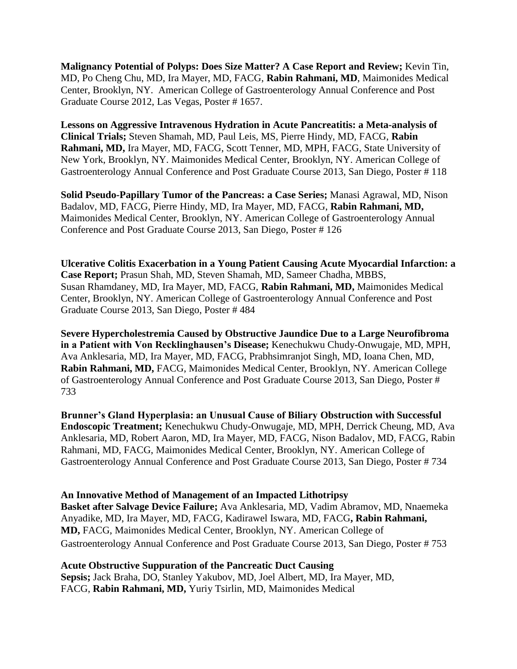**Malignancy Potential of Polyps: Does Size Matter? A Case Report and Review;** Kevin Tin, MD, Po Cheng Chu, MD, Ira Mayer, MD, FACG, **Rabin Rahmani, MD**, Maimonides Medical Center, Brooklyn, NY. American College of Gastroenterology Annual Conference and Post Graduate Course 2012, Las Vegas, Poster # 1657.

**Lessons on Aggressive Intravenous Hydration in Acute Pancreatitis: a Meta-analysis of Clinical Trials;** Steven Shamah, MD, Paul Leis, MS, Pierre Hindy, MD, FACG, **Rabin Rahmani, MD,** Ira Mayer, MD, FACG, Scott Tenner, MD, MPH, FACG, State University of New York, Brooklyn, NY. Maimonides Medical Center, Brooklyn, NY. American College of Gastroenterology Annual Conference and Post Graduate Course 2013, San Diego, Poster # 118

**Solid Pseudo-Papillary Tumor of the Pancreas: a Case Series;** Manasi Agrawal, MD, Nison Badalov, MD, FACG, Pierre Hindy, MD, Ira Mayer, MD, FACG, **Rabin Rahmani, MD,** Maimonides Medical Center, Brooklyn, NY. American College of Gastroenterology Annual Conference and Post Graduate Course 2013, San Diego, Poster # 126

**Ulcerative Colitis Exacerbation in a Young Patient Causing Acute Myocardial Infarction: a Case Report;** Prasun Shah, MD, Steven Shamah, MD, Sameer Chadha, MBBS, Susan Rhamdaney, MD, Ira Mayer, MD, FACG, **Rabin Rahmani, MD,** Maimonides Medical Center, Brooklyn, NY. American College of Gastroenterology Annual Conference and Post Graduate Course 2013, San Diego, Poster # 484

**Severe Hypercholestremia Caused by Obstructive Jaundice Due to a Large Neurofibroma in a Patient with Von Recklinghausen's Disease;** Kenechukwu Chudy-Onwugaje, MD, MPH, Ava Anklesaria, MD, Ira Mayer, MD, FACG, Prabhsimranjot Singh, MD, Ioana Chen, MD, **Rabin Rahmani, MD,** FACG, Maimonides Medical Center, Brooklyn, NY. American College of Gastroenterology Annual Conference and Post Graduate Course 2013, San Diego, Poster # 733

**Brunner's Gland Hyperplasia: an Unusual Cause of Biliary Obstruction with Successful Endoscopic Treatment;** Kenechukwu Chudy-Onwugaje, MD, MPH, Derrick Cheung, MD, Ava Anklesaria, MD, Robert Aaron, MD, Ira Mayer, MD, FACG, Nison Badalov, MD, FACG, Rabin Rahmani, MD, FACG, Maimonides Medical Center, Brooklyn, NY. American College of Gastroenterology Annual Conference and Post Graduate Course 2013, San Diego, Poster # 734

### **An Innovative Method of Management of an Impacted Lithotripsy**

**Basket after Salvage Device Failure;** Ava Anklesaria, MD, Vadim Abramov, MD, Nnaemeka Anyadike, MD, Ira Mayer, MD, FACG, Kadirawel Iswara, MD, FACG**, Rabin Rahmani, MD,** FACG, Maimonides Medical Center, Brooklyn, NY. American College of Gastroenterology Annual Conference and Post Graduate Course 2013, San Diego, Poster # 753

### **Acute Obstructive Suppuration of the Pancreatic Duct Causing**

**Sepsis;** Jack Braha, DO, Stanley Yakubov, MD, Joel Albert, MD, Ira Mayer, MD, FACG, **Rabin Rahmani, MD,** Yuriy Tsirlin, MD, Maimonides Medical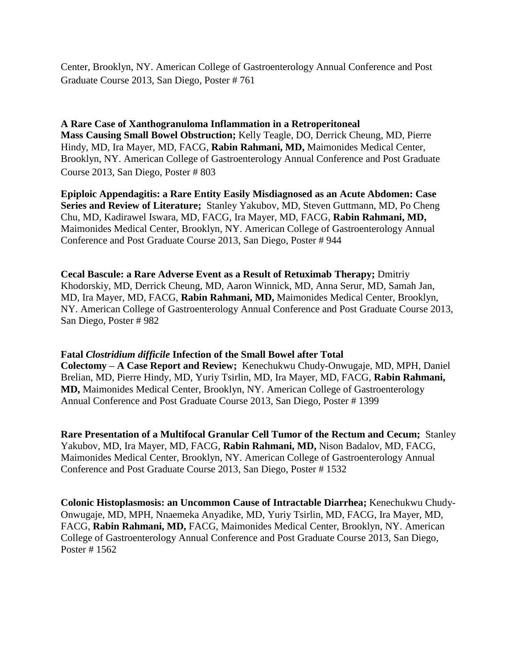Center, Brooklyn, NY. American College of Gastroenterology Annual Conference and Post Graduate Course 2013, San Diego, Poster # 761

## **A Rare Case of Xanthogranuloma Inflammation in a Retroperitoneal Mass Causing Small Bowel Obstruction;** Kelly Teagle, DO, Derrick Cheung, MD, Pierre Hindy, MD, Ira Mayer, MD, FACG, **Rabin Rahmani, MD,** Maimonides Medical Center, Brooklyn, NY. American College of Gastroenterology Annual Conference and Post Graduate Course 2013, San Diego, Poster # 803

**Epiploic Appendagitis: a Rare Entity Easily Misdiagnosed as an Acute Abdomen: Case Series and Review of Literature;** Stanley Yakubov, MD, Steven Guttmann, MD, Po Cheng Chu, MD, Kadirawel Iswara, MD, FACG, Ira Mayer, MD, FACG, **Rabin Rahmani, MD,** Maimonides Medical Center, Brooklyn, NY. American College of Gastroenterology Annual Conference and Post Graduate Course 2013, San Diego, Poster # 944

**Cecal Bascule: a Rare Adverse Event as a Result of Retuximab Therapy;** Dmitriy Khodorskiy, MD, Derrick Cheung, MD, Aaron Winnick, MD, Anna Serur, MD, Samah Jan, MD, Ira Mayer, MD, FACG, **Rabin Rahmani, MD,** Maimonides Medical Center, Brooklyn, NY. American College of Gastroenterology Annual Conference and Post Graduate Course 2013, San Diego, Poster # 982

### **Fatal** *Clostridium difficile* **Infection of the Small Bowel after Total**

**Colectomy – A Case Report and Review;** Kenechukwu Chudy-Onwugaje, MD, MPH, Daniel Brelian, MD, Pierre Hindy, MD, Yuriy Tsirlin, MD, Ira Mayer, MD, FACG, **Rabin Rahmani, MD,** Maimonides Medical Center, Brooklyn, NY. American College of Gastroenterology Annual Conference and Post Graduate Course 2013, San Diego, Poster # 1399

**Rare Presentation of a Multifocal Granular Cell Tumor of the Rectum and Cecum;** Stanley Yakubov, MD, Ira Mayer, MD, FACG, **Rabin Rahmani, MD,** Nison Badalov, MD, FACG, Maimonides Medical Center, Brooklyn, NY. American College of Gastroenterology Annual Conference and Post Graduate Course 2013, San Diego, Poster # 1532

**Colonic Histoplasmosis: an Uncommon Cause of Intractable Diarrhea;** Kenechukwu Chudy-Onwugaje, MD, MPH, Nnaemeka Anyadike, MD, Yuriy Tsirlin, MD, FACG, Ira Mayer, MD, FACG, **Rabin Rahmani, MD,** FACG, Maimonides Medical Center, Brooklyn, NY. American College of Gastroenterology Annual Conference and Post Graduate Course 2013, San Diego, Poster # 1562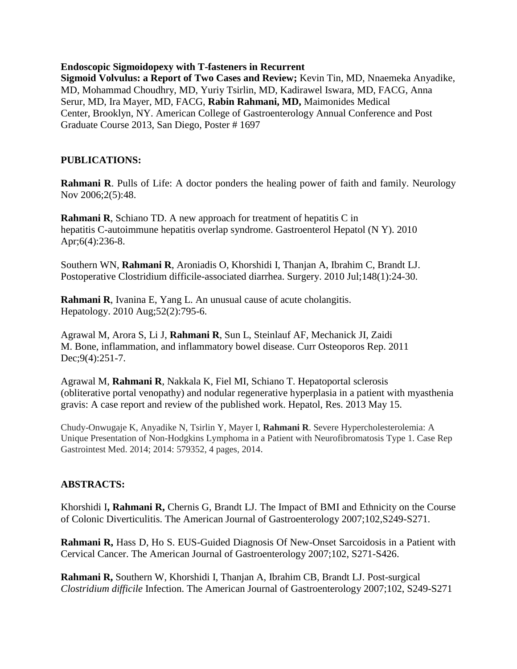#### **Endoscopic Sigmoidopexy with T-fasteners in Recurrent**

**Sigmoid Volvulus: a Report of Two Cases and Review;** Kevin Tin, MD, Nnaemeka Anyadike, MD, Mohammad Choudhry, MD, Yuriy Tsirlin, MD, Kadirawel Iswara, MD, FACG, Anna Serur, MD, Ira Mayer, MD, FACG, **Rabin Rahmani, MD,** Maimonides Medical Center, Brooklyn, NY. American College of Gastroenterology Annual Conference and Post Graduate Course 2013, San Diego, Poster # 1697

### **PUBLICATIONS:**

**Rahmani R.** Pulls of Life: A doctor ponders the healing power of faith and family. Neurology Nov 2006;2(5):48.

**Rahmani R**, Schiano TD. A new approach for treatment of hepatitis C in hepatitis C-autoimmune hepatitis overlap syndrome. Gastroenterol Hepatol (N Y). 2010 Apr;6(4):236-8.

Southern WN, **Rahmani R**, Aroniadis O, Khorshidi I, Thanjan A, Ibrahim C, Brandt LJ. Postoperative Clostridium difficile-associated diarrhea. Surgery. 2010 Jul;148(1):24-30.

**Rahmani R**, Ivanina E, Yang L. An unusual cause of acute cholangitis. Hepatology. 2010 Aug;52(2):795-6.

Agrawal M, Arora S, Li J, **Rahmani R**, Sun L, Steinlauf AF, Mechanick JI, Zaidi M. Bone, inflammation, and inflammatory bowel disease. Curr Osteoporos Rep. 2011 Dec; 9(4): 251-7.

Agrawal M, **Rahmani R**, Nakkala K, Fiel MI, Schiano T. Hepatoportal sclerosis (obliterative portal venopathy) and nodular regenerative hyperplasia in a patient with myasthenia gravis: A case report and review of the published work. Hepatol, Res. 2013 May 15.

Chudy-Onwugaje K, Anyadike N, Tsirlin Y, Mayer I, **Rahmani R**. Severe Hypercholesterolemia: A Unique Presentation of Non-Hodgkins Lymphoma in a Patient with Neurofibromatosis Type 1. Case Rep Gastrointest Med. 2014; 2014: 579352, 4 pages, 2014.

### **ABSTRACTS:**

Khorshidi I**, Rahmani R,** Chernis G, Brandt LJ. The Impact of BMI and Ethnicity on the Course of Colonic Diverticulitis. The American Journal of Gastroenterology 2007;102,S249-S271.

**Rahmani R,** Hass D, Ho S. EUS-Guided Diagnosis Of New-Onset Sarcoidosis in a Patient with Cervical Cancer. The American Journal of Gastroenterology 2007;102, S271-S426.

**Rahmani R,** Southern W, Khorshidi I, Thanjan A, Ibrahim CB, Brandt LJ. Post-surgical *Clostridium difficile* Infection. The American Journal of Gastroenterology 2007;102, S249-S271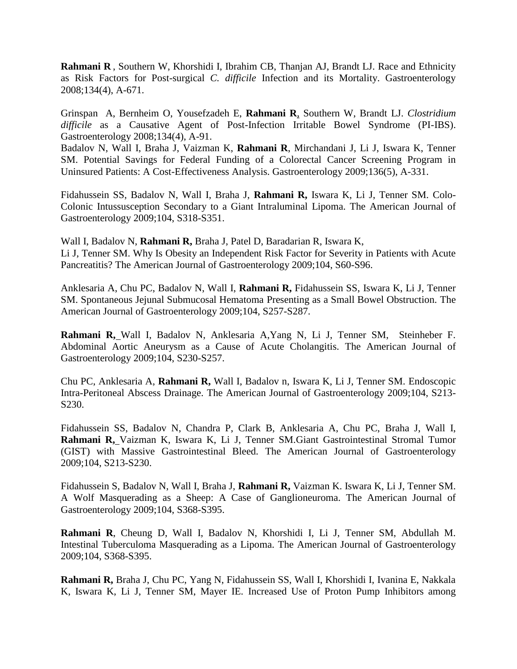**Rahmani R** , Southern W, Khorshidi I, Ibrahim CB, Thanjan AJ, Brandt LJ. Race and Ethnicity as Risk Factors for Post-surgical *C. difficile* Infection and its Mortality. Gastroenterology 2008;134(4), A-671.

Grinspan A, Bernheim O, Yousefzadeh E, **Rahmani R**, Southern W, Brandt LJ. *Clostridium difficile* as a Causative Agent of Post-Infection Irritable Bowel Syndrome (PI-IBS). Gastroenterology 2008;134(4), A-91.

Badalov N, Wall I, Braha J, Vaizman K, **Rahmani R**, Mirchandani J, Li J, Iswara K, Tenner SM. Potential Savings for Federal Funding of a Colorectal Cancer Screening Program in Uninsured Patients: A Cost-Effectiveness Analysis. Gastroenterology 2009;136(5), A-331.

Fidahussein SS, Badalov N, Wall I, Braha J, **Rahmani R,** Iswara K, Li J, Tenner SM. Colo-Colonic Intussusception Secondary to a Giant Intraluminal Lipoma. The American Journal of Gastroenterology 2009;104, S318-S351.

Wall I, Badalov N, **Rahmani R,** Braha J, Patel D, Baradarian R, Iswara K, Li J, Tenner SM. Why Is Obesity an Independent Risk Factor for Severity in Patients with Acute Pancreatitis? The American Journal of Gastroenterology 2009;104, S60-S96.

Anklesaria A, Chu PC, Badalov N, Wall I, **Rahmani R,** Fidahussein SS, Iswara K, Li J, Tenner SM. Spontaneous Jejunal Submucosal Hematoma Presenting as a Small Bowel Obstruction. The American Journal of Gastroenterology 2009;104, S257-S287.

**Rahmani R,** Wall I, Badalov N, Anklesaria A,Yang N, Li J, Tenner SM, Steinheber F. Abdominal Aortic Aneurysm as a Cause of Acute Cholangitis. The American Journal of Gastroenterology 2009;104, S230-S257.

Chu PC, Anklesaria A, **Rahmani R,** Wall I, Badalov n, Iswara K, Li J, Tenner SM. Endoscopic Intra-Peritoneal Abscess Drainage. The American Journal of Gastroenterology 2009;104, S213- S230.

Fidahussein SS, Badalov N, Chandra P, Clark B, Anklesaria A, Chu PC, Braha J, Wall I, **Rahmani R,** Vaizman K, Iswara K, Li J, Tenner SM.Giant Gastrointestinal Stromal Tumor (GIST) with Massive Gastrointestinal Bleed. The American Journal of Gastroenterology 2009;104, S213-S230.

Fidahussein S, Badalov N, Wall I, Braha J, **Rahmani R,** Vaizman K. Iswara K, Li J, Tenner SM. A Wolf Masquerading as a Sheep: A Case of Ganglioneuroma. The American Journal of Gastroenterology 2009;104, S368-S395.

**Rahmani R**, Cheung D, Wall I, Badalov N, Khorshidi I, Li J, Tenner SM, Abdullah M. Intestinal Tuberculoma Masquerading as a Lipoma. The American Journal of Gastroenterology 2009;104, S368-S395.

**Rahmani R,** Braha J, Chu PC, Yang N, Fidahussein SS, Wall I, Khorshidi I, Ivanina E, Nakkala K, Iswara K, Li J, Tenner SM, Mayer IE. Increased Use of Proton Pump Inhibitors among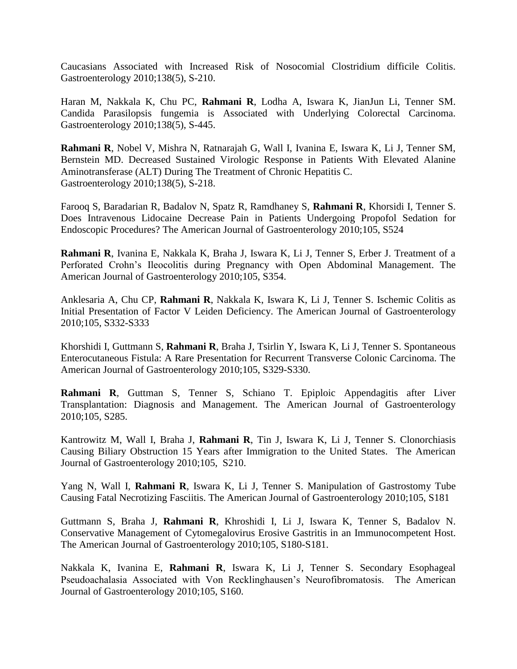Caucasians Associated with Increased Risk of Nosocomial Clostridium difficile Colitis. Gastroenterology 2010[;138\(5\), S](http://www.gastrojournal.org/issues?issue_key=S0016-5085%2810%29X6001-2)-210.

Haran M, Nakkala K, Chu PC, **Rahmani R**, Lodha A, Iswara K, JianJun Li, Tenner SM. Candida Parasilopsis fungemia is Associated with Underlying Colorectal Carcinoma. Gastroenterology 2010[;138\(5\), S](http://www.gastrojournal.org/issues?issue_key=S0016-5085%2810%29X6001-2)-445.

**Rahmani R**, Nobel V, Mishra N, Ratnarajah G, Wall I, Ivanina E, Iswara K, Li J, Tenner SM, Bernstein MD. Decreased Sustained Virologic Response in Patients With Elevated Alanine Aminotransferase (ALT) During The Treatment of Chronic Hepatitis C. Gastroenterology 2010[;138\(5\), S](http://www.gastrojournal.org/issues?issue_key=S0016-5085%2810%29X6001-2)-218.

Farooq S, Baradarian R, Badalov N, Spatz R, Ramdhaney S, **Rahmani R**, Khorsidi I, Tenner S. Does Intravenous Lidocaine Decrease Pain in Patients Undergoing Propofol Sedation for Endoscopic Procedures? The American Journal of Gastroenterology 2010;105, S524

**Rahmani R**, Ivanina E, Nakkala K, Braha J, Iswara K, Li J, Tenner S, Erber J. Treatment of a Perforated Crohn's Ileocolitis during Pregnancy with Open Abdominal Management. The American Journal of Gastroenterology 2010;105, S354.

Anklesaria A, Chu CP, **Rahmani R**, Nakkala K, Iswara K, Li J, Tenner S. Ischemic Colitis as Initial Presentation of Factor V Leiden Deficiency. The American Journal of Gastroenterology 2010;105, S332-S333

Khorshidi I, Guttmann S, **Rahmani R**, Braha J, Tsirlin Y, Iswara K, Li J, Tenner S. Spontaneous Enterocutaneous Fistula: A Rare Presentation for Recurrent Transverse Colonic Carcinoma. The American Journal of Gastroenterology 2010;105, S329-S330.

**Rahmani R**, Guttman S, Tenner S, Schiano T. Epiploic Appendagitis after Liver Transplantation: Diagnosis and Management. The American Journal of Gastroenterology 2010;105, S285.

Kantrowitz M, Wall I, Braha J, **Rahmani R**, Tin J, Iswara K, Li J, Tenner S. Clonorchiasis Causing Biliary Obstruction 15 Years after Immigration to the United States. The American Journal of Gastroenterology 2010;105, S210.

Yang N, Wall I, **Rahmani R**, Iswara K, Li J, Tenner S. Manipulation of Gastrostomy Tube Causing Fatal Necrotizing Fasciitis. The American Journal of Gastroenterology 2010;105, S181

Guttmann S, Braha J, **Rahmani R**, Khroshidi I, Li J, Iswara K, Tenner S, Badalov N. Conservative Management of Cytomegalovirus Erosive Gastritis in an Immunocompetent Host. The American Journal of Gastroenterology 2010;105, S180-S181.

Nakkala K, Ivanina E, **Rahmani R**, Iswara K, Li J, Tenner S. Secondary Esophageal Pseudoachalasia Associated with Von Recklinghausen's Neurofibromatosis. The American Journal of Gastroenterology 2010;105, S160.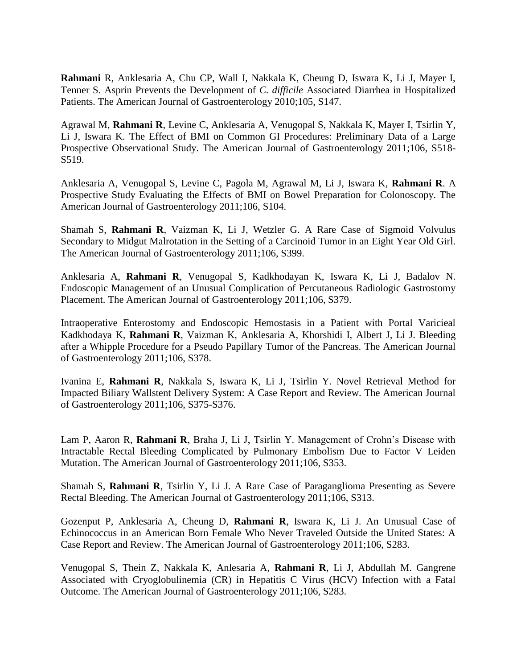**Rahmani** R, Anklesaria A, Chu CP, Wall I, Nakkala K, Cheung D, Iswara K, Li J, Mayer I, Tenner S. Asprin Prevents the Development of *C. difficile* Associated Diarrhea in Hospitalized Patients. The American Journal of Gastroenterology 2010;105, S147.

Agrawal M, **Rahmani R**, Levine C, Anklesaria A, Venugopal S, Nakkala K, Mayer I, Tsirlin Y, Li J, Iswara K. The Effect of BMI on Common GI Procedures: Preliminary Data of a Large Prospective Observational Study. The American Journal of Gastroenterology 2011;106, S518- S519.

Anklesaria A, Venugopal S, Levine C, Pagola M, Agrawal M, Li J, Iswara K, **Rahmani R**. A Prospective Study Evaluating the Effects of BMI on Bowel Preparation for Colonoscopy. The American Journal of Gastroenterology 2011;106, S104.

Shamah S, **Rahmani R**, Vaizman K, Li J, Wetzler G. A Rare Case of Sigmoid Volvulus Secondary to Midgut Malrotation in the Setting of a Carcinoid Tumor in an Eight Year Old Girl. The American Journal of Gastroenterology 2011;106, S399.

Anklesaria A, **Rahmani R**, Venugopal S, Kadkhodayan K, Iswara K, Li J, Badalov N. Endoscopic Management of an Unusual Complication of Percutaneous Radiologic Gastrostomy Placement. The American Journal of Gastroenterology 2011;106, S379.

Intraoperative Enterostomy and Endoscopic Hemostasis in a Patient with Portal Varicieal Kadkhodaya K, **Rahmani R**, Vaizman K, Anklesaria A, Khorshidi I, Albert J, Li J. Bleeding after a Whipple Procedure for a Pseudo Papillary Tumor of the Pancreas. The American Journal of Gastroenterology 2011;106, S378.

Ivanina E, **Rahmani R**, Nakkala S, Iswara K, Li J, Tsirlin Y. Novel Retrieval Method for Impacted Biliary Wallstent Delivery System: A Case Report and Review. The American Journal of Gastroenterology 2011;106, S375-S376.

Lam P, Aaron R, **Rahmani R**, Braha J, Li J, Tsirlin Y. Management of Crohn's Disease with Intractable Rectal Bleeding Complicated by Pulmonary Embolism Due to Factor V Leiden Mutation. The American Journal of Gastroenterology 2011;106, S353.

Shamah S, **Rahmani R**, Tsirlin Y, Li J. A Rare Case of Paraganglioma Presenting as Severe Rectal Bleeding. The American Journal of Gastroenterology 2011;106, S313.

Gozenput P, Anklesaria A, Cheung D, **Rahmani R**, Iswara K, Li J. An Unusual Case of Echinococcus in an American Born Female Who Never Traveled Outside the United States: A Case Report and Review. The American Journal of Gastroenterology 2011;106, S283.

Venugopal S, Thein Z, Nakkala K, Anlesaria A, **Rahmani R**, Li J, Abdullah M. Gangrene Associated with Cryoglobulinemia (CR) in Hepatitis C Virus (HCV) Infection with a Fatal Outcome. The American Journal of Gastroenterology 2011;106, S283.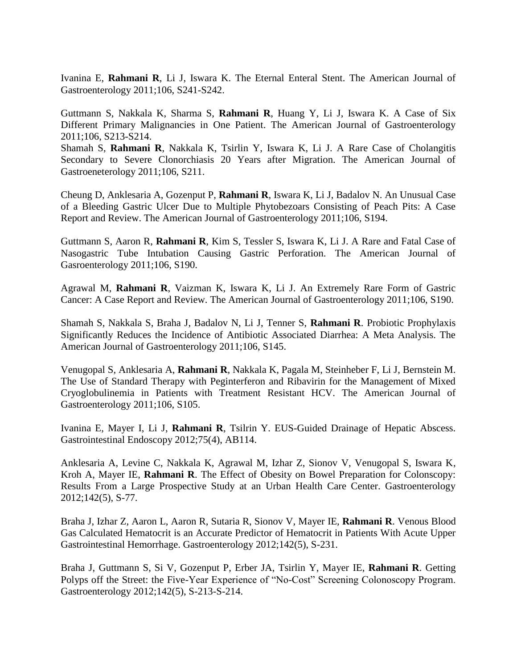Ivanina E, **Rahmani R**, Li J, Iswara K. The Eternal Enteral Stent. The American Journal of Gastroenterology 2011;106, S241-S242.

Guttmann S, Nakkala K, Sharma S, **Rahmani R**, Huang Y, Li J, Iswara K. A Case of Six Different Primary Malignancies in One Patient. The American Journal of Gastroenterology 2011;106, S213-S214.

Shamah S, **Rahmani R**, Nakkala K, Tsirlin Y, Iswara K, Li J. A Rare Case of Cholangitis Secondary to Severe Clonorchiasis 20 Years after Migration. The American Journal of Gastroeneterology 2011;106, S211.

Cheung D, Anklesaria A, Gozenput P, **Rahmani R**, Iswara K, Li J, Badalov N. An Unusual Case of a Bleeding Gastric Ulcer Due to Multiple Phytobezoars Consisting of Peach Pits: A Case Report and Review. The American Journal of Gastroenterology 2011;106, S194.

Guttmann S, Aaron R, **Rahmani R**, Kim S, Tessler S, Iswara K, Li J. A Rare and Fatal Case of Nasogastric Tube Intubation Causing Gastric Perforation. The American Journal of Gasroenterology 2011;106, S190.

Agrawal M, **Rahmani R**, Vaizman K, Iswara K, Li J. An Extremely Rare Form of Gastric Cancer: A Case Report and Review. The American Journal of Gastroenterology 2011;106, S190.

Shamah S, Nakkala S, Braha J, Badalov N, Li J, Tenner S, **Rahmani R**. Probiotic Prophylaxis Significantly Reduces the Incidence of Antibiotic Associated Diarrhea: A Meta Analysis. The American Journal of Gastroenterology 2011;106, S145.

Venugopal S, Anklesaria A, **Rahmani R**, Nakkala K, Pagala M, Steinheber F, Li J, Bernstein M. The Use of Standard Therapy with Peginterferon and Ribavirin for the Management of Mixed Cryoglobulinemia in Patients with Treatment Resistant HCV. The American Journal of Gastroenterology 2011;106, S105.

Ivanina E, Mayer I, Li J, **Rahmani R**, Tsilrin Y. EUS-Guided Drainage of Hepatic Abscess. Gastrointestinal Endoscopy 2012;75(4), AB114.

Anklesaria A, Levine C, Nakkala K, Agrawal M, Izhar Z, Sionov V, Venugopal S, Iswara K, Kroh A, Mayer IE, **Rahmani R**. The Effect of Obesity on Bowel Preparation for Colonscopy: Results From a Large Prospective Study at an Urban Health Care Center. Gastroenterology 2012;142(5), S-77.

Braha J, Izhar Z, Aaron L, Aaron R, Sutaria R, Sionov V, Mayer IE, **Rahmani R**. Venous Blood Gas Calculated Hematocrit is an Accurate Predictor of Hematocrit in Patients With Acute Upper Gastrointestinal Hemorrhage. Gastroenterology 2012;142(5), S-231.

Braha J, Guttmann S, Si V, Gozenput P, Erber JA, Tsirlin Y, Mayer IE, **Rahmani R**. Getting Polyps off the Street: the Five-Year Experience of "No-Cost" Screening Colonoscopy Program. Gastroenterology 2012;142(5), S-213-S-214.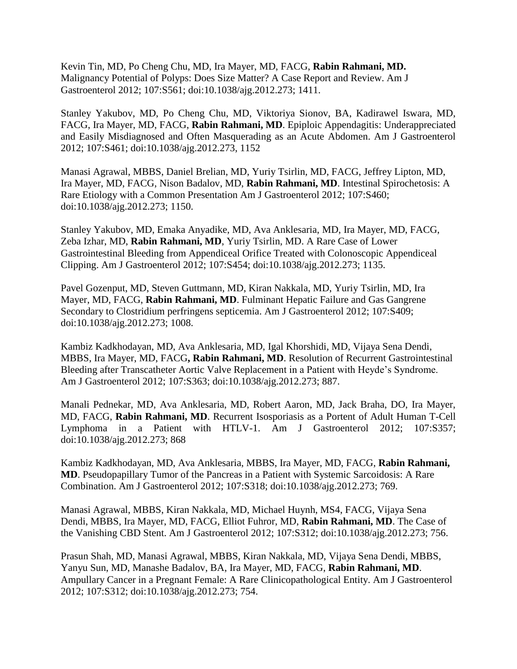Kevin Tin, MD, Po Cheng Chu, MD, Ira Mayer, MD, FACG, **Rabin Rahmani, MD.** Malignancy Potential of Polyps: Does Size Matter? A Case Report and Review. Am J Gastroenterol 2012; 107:S561; doi:10.1038/ajg.2012.273; 1411.

Stanley Yakubov, MD, Po Cheng Chu, MD, Viktoriya Sionov, BA, Kadirawel Iswara, MD, FACG, Ira Mayer, MD, FACG, **Rabin Rahmani, MD**. Epiploic Appendagitis: Underappreciated and Easily Misdiagnosed and Often Masquerading as an Acute Abdomen. Am J Gastroenterol 2012; 107:S461; doi:10.1038/ajg.2012.273, 1152

Manasi Agrawal, MBBS, Daniel Brelian, MD, Yuriy Tsirlin, MD, FACG, Jeffrey Lipton, MD, Ira Mayer, MD, FACG, Nison Badalov, MD, **Rabin Rahmani, MD**. Intestinal Spirochetosis: A Rare Etiology with a Common Presentation Am J Gastroenterol 2012; 107:S460; doi:10.1038/ajg.2012.273; 1150.

Stanley Yakubov, MD, Emaka Anyadike, MD, Ava Anklesaria, MD, Ira Mayer, MD, FACG, Zeba Izhar, MD, **Rabin Rahmani, MD**, Yuriy Tsirlin, MD. A Rare Case of Lower Gastrointestinal Bleeding from Appendiceal Orifice Treated with Colonoscopic Appendiceal Clipping. Am J Gastroenterol 2012; 107:S454; doi:10.1038/ajg.2012.273; 1135.

Pavel Gozenput, MD, Steven Guttmann, MD, Kiran Nakkala, MD, Yuriy Tsirlin, MD, Ira Mayer, MD, FACG, **Rabin Rahmani, MD**. Fulminant Hepatic Failure and Gas Gangrene Secondary to Clostridium perfringens septicemia. Am J Gastroenterol 2012; 107:S409; doi:10.1038/ajg.2012.273; 1008.

Kambiz Kadkhodayan, MD, Ava Anklesaria, MD, Igal Khorshidi, MD, Vijaya Sena Dendi, MBBS, Ira Mayer, MD, FACG**, Rabin Rahmani, MD**. Resolution of Recurrent Gastrointestinal Bleeding after Transcatheter Aortic Valve Replacement in a Patient with Heyde's Syndrome. Am J Gastroenterol 2012; 107:S363; doi:10.1038/ajg.2012.273; 887.

Manali Pednekar, MD, Ava Anklesaria, MD, Robert Aaron, MD, Jack Braha, DO, Ira Mayer, MD, FACG, **Rabin Rahmani, MD**. Recurrent Isosporiasis as a Portent of Adult Human T-Cell Lymphoma in a Patient with HTLV-1. Am J Gastroenterol 2012; 107:S357; doi:10.1038/ajg.2012.273; 868

Kambiz Kadkhodayan, MD, Ava Anklesaria, MBBS, Ira Mayer, MD, FACG, **Rabin Rahmani, MD**. Pseudopapillary Tumor of the Pancreas in a Patient with Systemic Sarcoidosis: A Rare Combination. Am J Gastroenterol 2012; 107:S318; doi:10.1038/ajg.2012.273; 769.

Manasi Agrawal, MBBS, Kiran Nakkala, MD, Michael Huynh, MS4, FACG, Vijaya Sena Dendi, MBBS, Ira Mayer, MD, FACG, Elliot Fuhror, MD, **Rabin Rahmani, MD**. The Case of the Vanishing CBD Stent. Am J Gastroenterol 2012; 107:S312; doi:10.1038/ajg.2012.273; 756.

Prasun Shah, MD, Manasi Agrawal, MBBS, Kiran Nakkala, MD, Vijaya Sena Dendi, MBBS, Yanyu Sun, MD, Manashe Badalov, BA, Ira Mayer, MD, FACG, **Rabin Rahmani, MD**. Ampullary Cancer in a Pregnant Female: A Rare Clinicopathological Entity. Am J Gastroenterol 2012; 107:S312; doi:10.1038/ajg.2012.273; 754.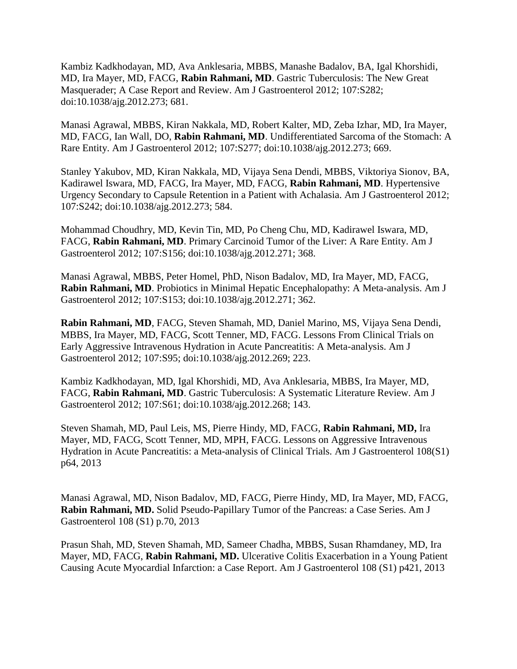Kambiz Kadkhodayan, MD, Ava Anklesaria, MBBS, Manashe Badalov, BA, Igal Khorshidi, MD, Ira Mayer, MD, FACG, **Rabin Rahmani, MD**. Gastric Tuberculosis: The New Great Masquerader; A Case Report and Review. Am J Gastroenterol 2012; 107:S282; doi:10.1038/ajg.2012.273; 681.

Manasi Agrawal, MBBS, Kiran Nakkala, MD, Robert Kalter, MD, Zeba Izhar, MD, Ira Mayer, MD, FACG, Ian Wall, DO, **Rabin Rahmani, MD**. Undifferentiated Sarcoma of the Stomach: A Rare Entity. Am J Gastroenterol 2012; 107:S277; doi:10.1038/ajg.2012.273; 669.

Stanley Yakubov, MD, Kiran Nakkala, MD, Vijaya Sena Dendi, MBBS, Viktoriya Sionov, BA, Kadirawel Iswara, MD, FACG, Ira Mayer, MD, FACG, **Rabin Rahmani, MD**. Hypertensive Urgency Secondary to Capsule Retention in a Patient with Achalasia. Am J Gastroenterol 2012; 107:S242; doi:10.1038/ajg.2012.273; 584.

Mohammad Choudhry, MD, Kevin Tin, MD, Po Cheng Chu, MD, Kadirawel Iswara, MD, FACG, **Rabin Rahmani, MD**. Primary Carcinoid Tumor of the Liver: A Rare Entity. Am J Gastroenterol 2012; 107:S156; doi:10.1038/ajg.2012.271; 368.

Manasi Agrawal, MBBS, Peter Homel, PhD, Nison Badalov, MD, Ira Mayer, MD, FACG, **Rabin Rahmani, MD**. Probiotics in Minimal Hepatic Encephalopathy: A Meta-analysis. Am J Gastroenterol 2012; 107:S153; doi:10.1038/ajg.2012.271; 362.

**Rabin Rahmani, MD**, FACG, Steven Shamah, MD, Daniel Marino, MS, Vijaya Sena Dendi, MBBS, Ira Mayer, MD, FACG, Scott Tenner, MD, FACG. Lessons From Clinical Trials on Early Aggressive Intravenous Hydration in Acute Pancreatitis: A Meta-analysis. Am J Gastroenterol 2012; 107:S95; doi:10.1038/ajg.2012.269; 223.

Kambiz Kadkhodayan, MD, Igal Khorshidi, MD, Ava Anklesaria, MBBS, Ira Mayer, MD, FACG, **Rabin Rahmani, MD**. Gastric Tuberculosis: A Systematic Literature Review. Am J Gastroenterol 2012; 107:S61; doi:10.1038/ajg.2012.268; 143.

Steven Shamah, MD, Paul Leis, MS, Pierre Hindy, MD, FACG, **Rabin Rahmani, MD,** Ira Mayer, MD, FACG, Scott Tenner, MD, MPH, FACG. Lessons on Aggressive Intravenous Hydration in Acute Pancreatitis: a Meta-analysis of Clinical Trials. Am J Gastroenterol 108(S1) p64, 2013

Manasi Agrawal, MD, Nison Badalov, MD, FACG, Pierre Hindy, MD, Ira Mayer, MD, FACG, **Rabin Rahmani, MD.** Solid Pseudo-Papillary Tumor of the Pancreas: a Case Series. Am J Gastroenterol 108 (S1) p.70, 2013

Prasun Shah, MD, Steven Shamah, MD, Sameer Chadha, MBBS, Susan Rhamdaney, MD, Ira Mayer, MD, FACG, **Rabin Rahmani, MD.** Ulcerative Colitis Exacerbation in a Young Patient Causing Acute Myocardial Infarction: a Case Report. Am J Gastroenterol 108 (S1) p421, 2013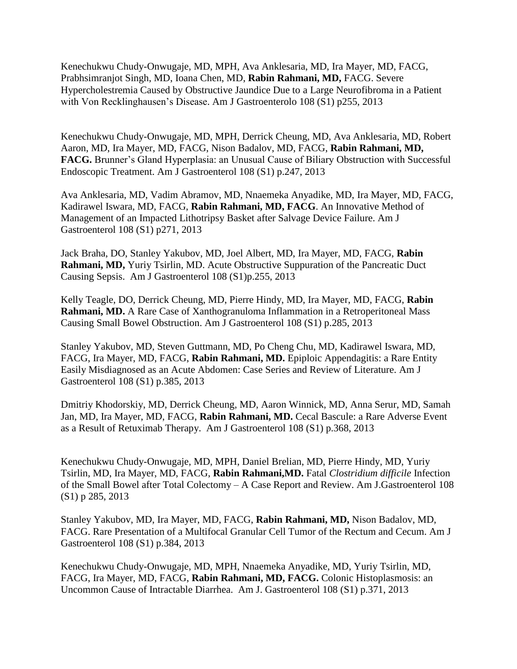Kenechukwu Chudy-Onwugaje, MD, MPH, Ava Anklesaria, MD, Ira Mayer, MD, FACG, Prabhsimranjot Singh, MD, Ioana Chen, MD, **Rabin Rahmani, MD,** FACG. Severe Hypercholestremia Caused by Obstructive Jaundice Due to a Large Neurofibroma in a Patient with Von Recklinghausen's Disease. Am J Gastroenterolo 108 (S1) p255, 2013

Kenechukwu Chudy-Onwugaje, MD, MPH, Derrick Cheung, MD, Ava Anklesaria, MD, Robert Aaron, MD, Ira Mayer, MD, FACG, Nison Badalov, MD, FACG, **Rabin Rahmani, MD, FACG.** Brunner's Gland Hyperplasia: an Unusual Cause of Biliary Obstruction with Successful Endoscopic Treatment. Am J Gastroenterol 108 (S1) p.247, 2013

Ava Anklesaria, MD, Vadim Abramov, MD, Nnaemeka Anyadike, MD, Ira Mayer, MD, FACG, Kadirawel Iswara, MD, FACG, **Rabin Rahmani, MD, FACG**. An Innovative Method of Management of an Impacted Lithotripsy Basket after Salvage Device Failure. Am J Gastroenterol 108 (S1) p271, 2013

Jack Braha, DO, Stanley Yakubov, MD, Joel Albert, MD, Ira Mayer, MD, FACG, **Rabin Rahmani, MD,** Yuriy Tsirlin, MD. Acute Obstructive Suppuration of the Pancreatic Duct Causing Sepsis. Am J Gastroenterol 108 (S1)p.255, 2013

Kelly Teagle, DO, Derrick Cheung, MD, Pierre Hindy, MD, Ira Mayer, MD, FACG, **Rabin Rahmani, MD.** A Rare Case of Xanthogranuloma Inflammation in a Retroperitoneal Mass Causing Small Bowel Obstruction. Am J Gastroenterol 108 (S1) p.285, 2013

Stanley Yakubov, MD, Steven Guttmann, MD, Po Cheng Chu, MD, Kadirawel Iswara, MD, FACG, Ira Mayer, MD, FACG, **Rabin Rahmani, MD.** Epiploic Appendagitis: a Rare Entity Easily Misdiagnosed as an Acute Abdomen: Case Series and Review of Literature. Am J Gastroenterol 108 (S1) p.385, 2013

Dmitriy Khodorskiy, MD, Derrick Cheung, MD, Aaron Winnick, MD, Anna Serur, MD, Samah Jan, MD, Ira Mayer, MD, FACG, **Rabin Rahmani, MD.** Cecal Bascule: a Rare Adverse Event as a Result of Retuximab Therapy. Am J Gastroenterol 108 (S1) p.368, 2013

Kenechukwu Chudy-Onwugaje, MD, MPH, Daniel Brelian, MD, Pierre Hindy, MD, Yuriy Tsirlin, MD, Ira Mayer, MD, FACG, **Rabin Rahmani,MD.** Fatal *Clostridium difficile* Infection of the Small Bowel after Total Colectomy – A Case Report and Review. Am J.Gastroenterol 108 (S1) p 285, 2013

Stanley Yakubov, MD, Ira Mayer, MD, FACG, **Rabin Rahmani, MD,** Nison Badalov, MD, FACG. Rare Presentation of a Multifocal Granular Cell Tumor of the Rectum and Cecum. Am J Gastroenterol 108 (S1) p.384, 2013

Kenechukwu Chudy-Onwugaje, MD, MPH, Nnaemeka Anyadike, MD, Yuriy Tsirlin, MD, FACG, Ira Mayer, MD, FACG, **Rabin Rahmani, MD, FACG.** Colonic Histoplasmosis: an Uncommon Cause of Intractable Diarrhea. Am J. Gastroenterol 108 (S1) p.371, 2013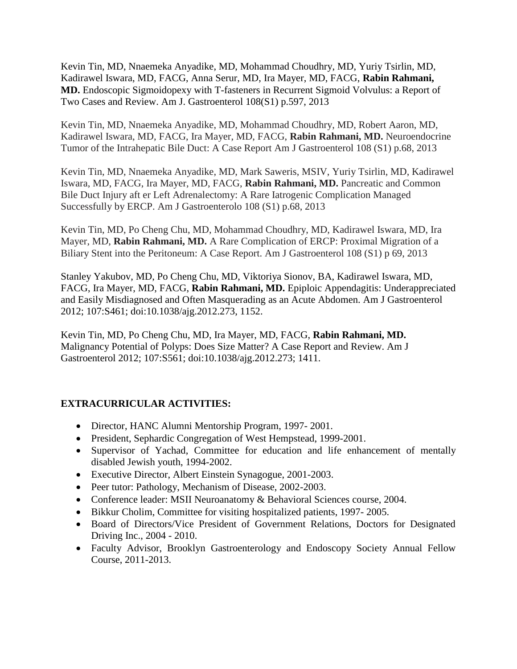Kevin Tin, MD, Nnaemeka Anyadike, MD, Mohammad Choudhry, MD, Yuriy Tsirlin, MD, Kadirawel Iswara, MD, FACG, Anna Serur, MD, Ira Mayer, MD, FACG, **Rabin Rahmani, MD.** Endoscopic Sigmoidopexy with T-fasteners in Recurrent Sigmoid Volvulus: a Report of Two Cases and Review. Am J. Gastroenterol 108(S1) p.597, 2013

Kevin Tin, MD, Nnaemeka Anyadike, MD, Mohammad Choudhry, MD, Robert Aaron, MD, Kadirawel Iswara, MD, FACG, Ira Mayer, MD, FACG, **Rabin Rahmani, MD.** Neuroendocrine Tumor of the Intrahepatic Bile Duct: A Case Report Am J Gastroenterol 108 (S1) p.68, 2013

Kevin Tin, MD, Nnaemeka Anyadike, MD, Mark Saweris, MSIV, Yuriy Tsirlin, MD, Kadirawel Iswara, MD, FACG, Ira Mayer, MD, FACG, **Rabin Rahmani, MD.** Pancreatic and Common Bile Duct Injury aft er Left Adrenalectomy: A Rare Iatrogenic Complication Managed Successfully by ERCP. Am J Gastroenterolo 108 (S1) p.68, 2013

Kevin Tin, MD, Po Cheng Chu, MD, Mohammad Choudhry, MD, Kadirawel Iswara, MD, Ira Mayer, MD, **Rabin Rahmani, MD.** A Rare Complication of ERCP: Proximal Migration of a Biliary Stent into the Peritoneum: A Case Report. Am J Gastroenterol 108 (S1) p 69, 2013

Stanley Yakubov, MD, Po Cheng Chu, MD, Viktoriya Sionov, BA, Kadirawel Iswara, MD, FACG, Ira Mayer, MD, FACG, **Rabin Rahmani, MD.** Epiploic Appendagitis: Underappreciated and Easily Misdiagnosed and Often Masquerading as an Acute Abdomen. Am J Gastroenterol 2012; 107:S461; doi:10.1038/ajg.2012.273, 1152.

Kevin Tin, MD, Po Cheng Chu, MD, Ira Mayer, MD, FACG, **Rabin Rahmani, MD.** Malignancy Potential of Polyps: Does Size Matter? A Case Report and Review. Am J Gastroenterol 2012; 107:S561; doi:10.1038/ajg.2012.273; 1411.

# **EXTRACURRICULAR ACTIVITIES:**

- Director, HANC Alumni Mentorship Program, 1997- 2001.
- President, Sephardic Congregation of West Hempstead, 1999-2001.
- Supervisor of Yachad, Committee for education and life enhancement of mentally disabled Jewish youth, 1994-2002.
- Executive Director, Albert Einstein Synagogue, 2001-2003.
- Peer tutor: Pathology, Mechanism of Disease, 2002-2003.
- Conference leader: MSII Neuroanatomy & Behavioral Sciences course, 2004.
- Bikkur Cholim, Committee for visiting hospitalized patients, 1997- 2005.
- Board of Directors/Vice President of Government Relations, Doctors for Designated Driving Inc., 2004 - 2010.
- Faculty Advisor, Brooklyn Gastroenterology and Endoscopy Society Annual Fellow Course, 2011-2013.